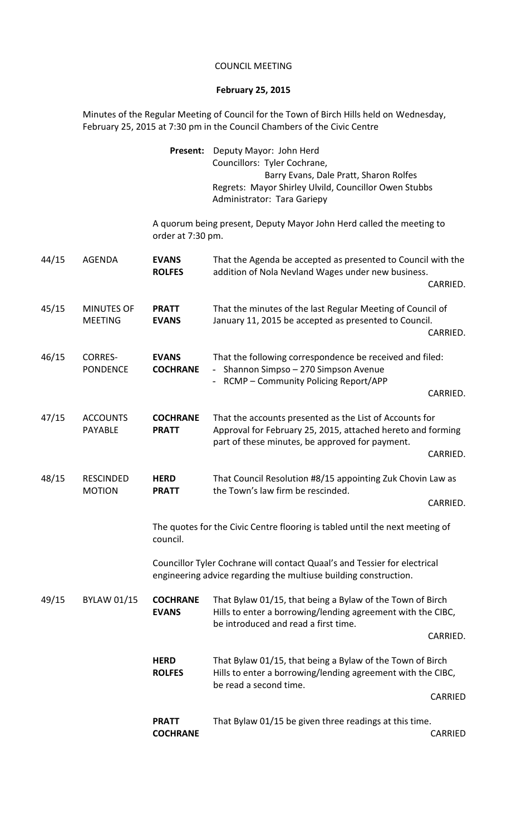## COUNCIL MEETING

## **February 25, 2015**

Minutes of the Regular Meeting of Council for the Town of Birch Hills held on Wednesday, February 25, 2015 at 7:30 pm in the Council Chambers of the Civic Centre

|       |                                     | <b>ROLFES</b>                                                                                                                                 | Hills to enter a borrowing/lending agreement with the CIBC,<br>be read a second time.                                                                                                                               | CARRIED  |
|-------|-------------------------------------|-----------------------------------------------------------------------------------------------------------------------------------------------|---------------------------------------------------------------------------------------------------------------------------------------------------------------------------------------------------------------------|----------|
|       |                                     | <b>HERD</b>                                                                                                                                   | That Bylaw 01/15, that being a Bylaw of the Town of Birch                                                                                                                                                           | CARRIED. |
| 49/15 | <b>BYLAW 01/15</b>                  | <b>COCHRANE</b><br><b>EVANS</b>                                                                                                               | That Bylaw 01/15, that being a Bylaw of the Town of Birch<br>Hills to enter a borrowing/lending agreement with the CIBC,<br>be introduced and read a first time.                                                    |          |
|       |                                     | Councillor Tyler Cochrane will contact Quaal's and Tessier for electrical<br>engineering advice regarding the multiuse building construction. |                                                                                                                                                                                                                     |          |
|       |                                     | The quotes for the Civic Centre flooring is tabled until the next meeting of<br>council.                                                      |                                                                                                                                                                                                                     |          |
|       | <b>MOTION</b>                       | <b>PRATT</b>                                                                                                                                  | the Town's law firm be rescinded.                                                                                                                                                                                   | CARRIED. |
| 48/15 | <b>RESCINDED</b>                    | <b>HERD</b>                                                                                                                                   | That Council Resolution #8/15 appointing Zuk Chovin Law as                                                                                                                                                          | CARRIED. |
| 47/15 | <b>ACCOUNTS</b><br><b>PAYABLE</b>   | <b>COCHRANE</b><br><b>PRATT</b>                                                                                                               | - RCMP - Community Policing Report/APP<br>That the accounts presented as the List of Accounts for<br>Approval for February 25, 2015, attached hereto and forming<br>part of these minutes, be approved for payment. |          |
|       |                                     |                                                                                                                                               |                                                                                                                                                                                                                     | CARRIED. |
| 46/15 | <b>CORRES-</b><br><b>PONDENCE</b>   | <b>EVANS</b><br><b>COCHRANE</b>                                                                                                               | That the following correspondence be received and filed:<br>- Shannon Simpso - 270 Simpson Avenue                                                                                                                   |          |
| 45/15 | <b>MINUTES OF</b><br><b>MEETING</b> | <b>PRATT</b><br><b>EVANS</b>                                                                                                                  | That the minutes of the last Regular Meeting of Council of<br>January 11, 2015 be accepted as presented to Council.<br>CARRIED.                                                                                     |          |
|       |                                     | <b>ROLFES</b>                                                                                                                                 | addition of Nola Nevland Wages under new business.                                                                                                                                                                  | CARRIED. |
| 44/15 | <b>AGENDA</b>                       | order at 7:30 pm.<br><b>EVANS</b>                                                                                                             | That the Agenda be accepted as presented to Council with the                                                                                                                                                        |          |
|       |                                     |                                                                                                                                               | Administrator: Tara Gariepy<br>A quorum being present, Deputy Mayor John Herd called the meeting to                                                                                                                 |          |
|       |                                     |                                                                                                                                               | Barry Evans, Dale Pratt, Sharon Rolfes<br>Regrets: Mayor Shirley Ulvild, Councillor Owen Stubbs                                                                                                                     |          |
|       |                                     | Present:                                                                                                                                      | Deputy Mayor: John Herd<br>Councillors: Tyler Cochrane,                                                                                                                                                             |          |